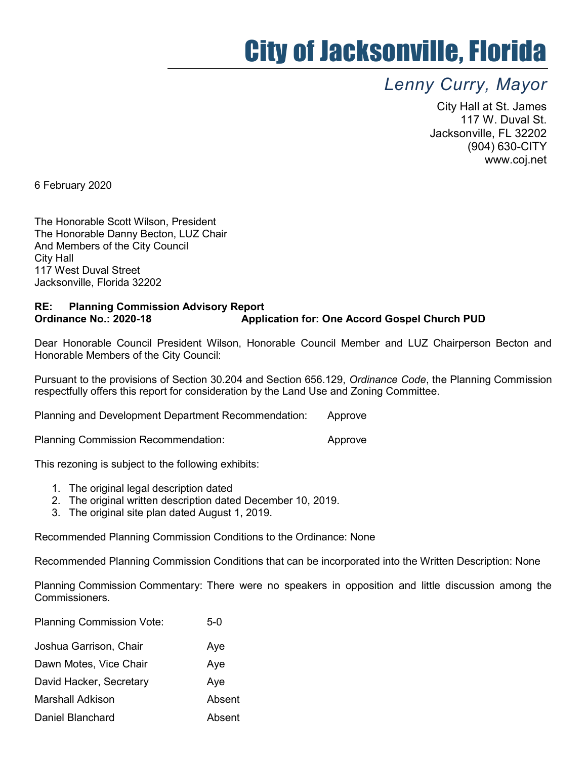## City of Jacksonville, Florida

## Lenny Curry, Mayor

City Hall at St. James 117 W. Duval St. Jacksonville, FL 32202 (904) 630-CITY www.coj.net

6 February 2020

The Honorable Scott Wilson, President The Honorable Danny Becton, LUZ Chair And Members of the City Council City Hall 117 West Duval Street Jacksonville, Florida 32202

## RE: Planning Commission Advisory Report Ordinance No.: 2020-18 Application for: One Accord Gospel Church PUD

Dear Honorable Council President Wilson, Honorable Council Member and LUZ Chairperson Becton and Honorable Members of the City Council:

Pursuant to the provisions of Section 30.204 and Section 656.129, Ordinance Code, the Planning Commission respectfully offers this report for consideration by the Land Use and Zoning Committee.

Planning and Development Department Recommendation: Approve

Planning Commission Recommendation: example and approve

This rezoning is subject to the following exhibits:

- 1. The original legal description dated
- 2. The original written description dated December 10, 2019.
- 3. The original site plan dated August 1, 2019.

Recommended Planning Commission Conditions to the Ordinance: None

Recommended Planning Commission Conditions that can be incorporated into the Written Description: None

Planning Commission Commentary: There were no speakers in opposition and little discussion among the Commissioners.

| Joshua Garrison, Chair  | Aye    |
|-------------------------|--------|
| Dawn Motes, Vice Chair  | Aye    |
| David Hacker, Secretary | Aye    |
| Marshall Adkison        | Absent |
| Daniel Blanchard        | Absent |

Planning Commission Vote: 5-0